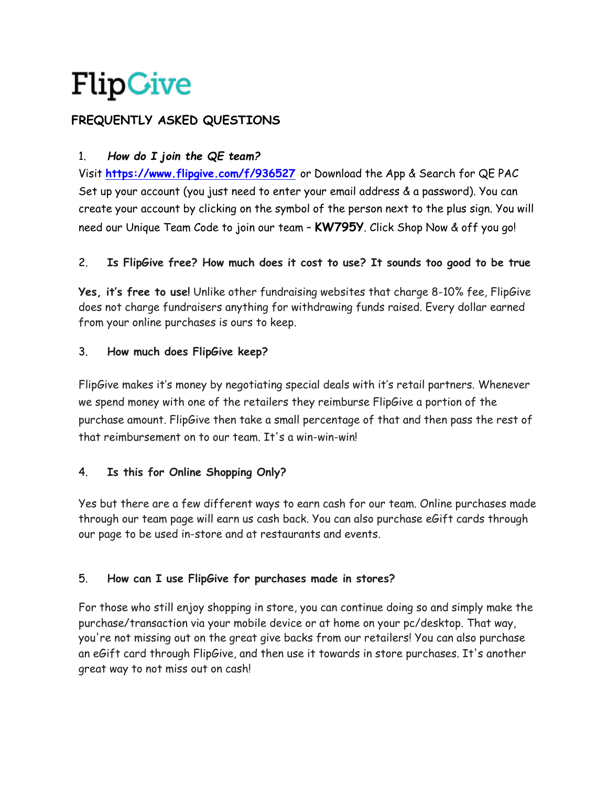# **FREQUENTLY ASKED QUESTIONS**

# 1. *How do I join the QE team?*

Visit **<https://www.flipgive.com/f/936527>** or Download the App & Search for QE PAC Set up your account (you just need to enter your email address & a password). You can create your account by clicking on the symbol of the person next to the plus sign. You will need our Unique Team Code to join our team – **KW795Y**. Click Shop Now & off you go!

### 2. **Is FlipGive free? How much does it cost to use? It sounds too good to be true**

**Yes, it's free to use!** Unlike other fundraising websites that charge 8-10% fee, FlipGive does not charge fundraisers anything for withdrawing funds raised. Every dollar earned from your online purchases is ours to keep.

### 3. **How much does FlipGive keep?**

FlipGive makes it's money by negotiating special deals with it's retail partners. Whenever we spend money with one of the retailers they reimburse FlipGive a portion of the purchase amount. FlipGive then take a small percentage of that and then pass the rest of that reimbursement on to our team. It's a win-win-win!

# 4. **Is this for Online Shopping Only?**

Yes but there are a few different ways to earn cash for our team. Online purchases made through our team page will earn us cash back. You can also purchase eGift cards through our page to be used in-store and at restaurants and events.

# 5. **How can I use FlipGive for purchases made in stores?**

For those who still enjoy shopping in store, you can continue doing so and simply make the purchase/transaction via your mobile device or at home on your pc/desktop. That way, you're not missing out on the great give backs from our retailers! You can also purchase an eGift card through FlipGive, and then use it towards in store purchases. It's another great way to not miss out on cash!